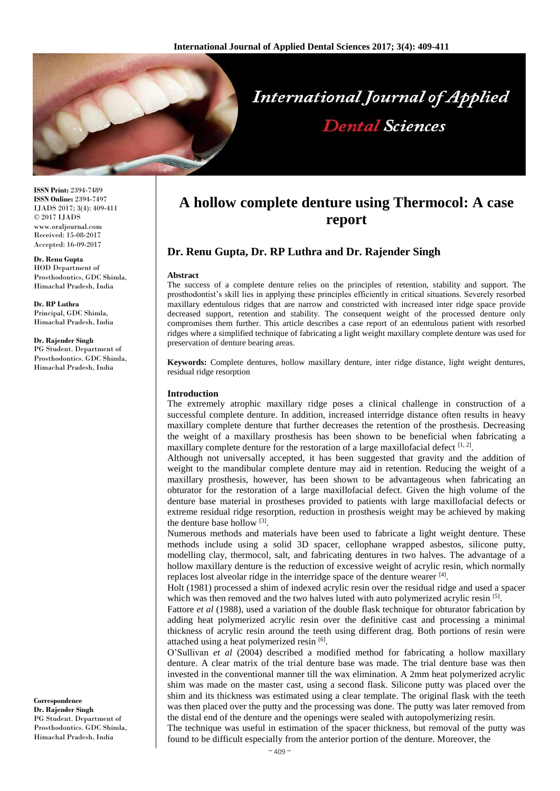

**ISSN Print:** 2394-7489 **ISSN Online:** 2394-7497 IJADS 2017; 3(4): 409-411 © 2017 IJADS www.oraljournal.com Received: 15-08-2017 Accepted: 16-09-2017

#### **Dr. Renu Gupta**

HOD Department of Prosthodontics, GDC Shimla, Himachal Pradesh, India

**Dr. RP Luthra** Principal, GDC Shimla, Himachal Pradesh, India

#### **Dr. Rajender Singh**

PG Student. Department of Prosthodontics. GDC Shimla, Himachal Pradesh, India

**Correspondence Dr. Rajender Singh** PG Student. Department of Prosthodontics. GDC Shimla, Himachal Pradesh, India

# **A hollow complete denture using Thermocol: A case report**

## **Dr. Renu Gupta, Dr. RP Luthra and Dr. Rajender Singh**

#### **Abstract**

The success of a complete denture relies on the principles of retention, stability and support. The prosthodontist's skill lies in applying these principles efficiently in critical situations. Severely resorbed maxillary edentulous ridges that are narrow and constricted with increased inter ridge space provide decreased support, retention and stability. The consequent weight of the processed denture only compromises them further. This article describes a case report of an edentulous patient with resorbed ridges where a simplified technique of fabricating a light weight maxillary complete denture was used for preservation of denture bearing areas.

**Keywords:** Complete dentures, hollow maxillary denture, inter ridge distance, light weight dentures, residual ridge resorption

#### **Introduction**

The extremely atrophic maxillary ridge poses a clinical challenge in construction of a successful complete denture. In addition, increased interridge distance often results in heavy maxillary complete denture that further decreases the retention of the prosthesis. Decreasing the weight of a maxillary prosthesis has been shown to be beneficial when fabricating a maxillary complete denture for the restoration of a large maxillofacial defect  $[1, 2]$ .

Although not universally accepted, it has been suggested that gravity and the addition of weight to the mandibular complete denture may aid in retention. Reducing the weight of a maxillary prosthesis, however, has been shown to be advantageous when fabricating an obturator for the restoration of a large maxillofacial defect. Given the high volume of the denture base material in prostheses provided to patients with large maxillofacial defects or extreme residual ridge resorption, reduction in prosthesis weight may be achieved by making the denture base hollow [3] .

Numerous methods and materials have been used to fabricate a light weight denture. These methods include using a solid 3D spacer, cellophane wrapped asbestos, silicone putty, modelling clay, thermocol, salt, and fabricating dentures in two halves. The advantage of a hollow maxillary denture is the reduction of excessive weight of acrylic resin, which normally replaces lost alveolar ridge in the interridge space of the denture wearer [4].

Holt (1981) processed a shim of indexed acrylic resin over the residual ridge and used a spacer which was then removed and the two halves luted with auto polymerized acrylic resin [5].

Fattore *et al* (1988), used a variation of the double flask technique for obturator fabrication by adding heat polymerized acrylic resin over the definitive cast and processing a minimal thickness of acrylic resin around the teeth using different drag. Both portions of resin were attached using a heat polymerized resin [6].

O'Sullivan *et al* (2004) described a modified method for fabricating a hollow maxillary denture. A clear matrix of the trial denture base was made. The trial denture base was then invested in the conventional manner till the wax elimination. A 2mm heat polymerized acrylic shim was made on the master cast, using a second flask. Silicone putty was placed over the shim and its thickness was estimated using a clear template. The original flask with the teeth was then placed over the putty and the processing was done. The putty was later removed from the distal end of the denture and the openings were sealed with autopolymerizing resin.

The technique was useful in estimation of the spacer thickness, but removal of the putty was found to be difficult especially from the anterior portion of the denture. Moreover, the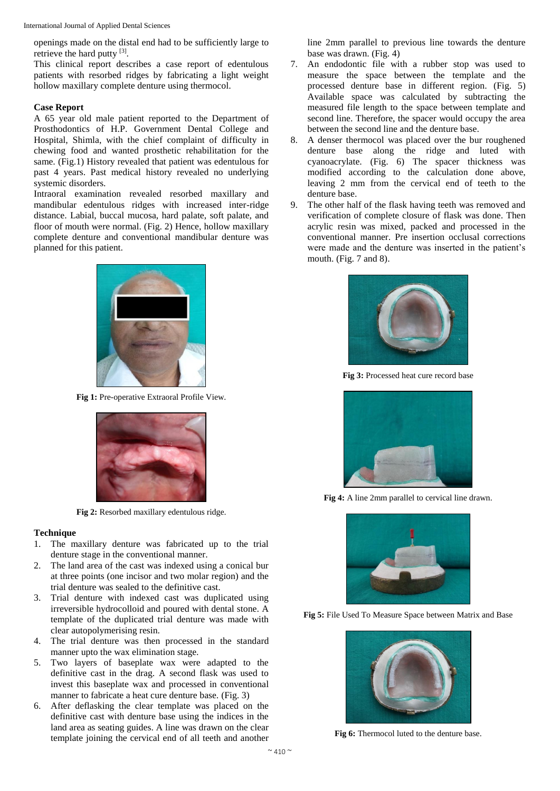International Journal of Applied Dental Sciences

openings made on the distal end had to be sufficiently large to retrieve the hard putty [3].

This clinical report describes a case report of edentulous patients with resorbed ridges by fabricating a light weight hollow maxillary complete denture using thermocol.

## **Case Report**

A 65 year old male patient reported to the Department of Prosthodontics of H.P. Government Dental College and Hospital, Shimla, with the chief complaint of difficulty in chewing food and wanted prosthetic rehabilitation for the same. (Fig.1) History revealed that patient was edentulous for past 4 years. Past medical history revealed no underlying systemic disorders.

Intraoral examination revealed resorbed maxillary and mandibular edentulous ridges with increased inter-ridge distance. Labial, buccal mucosa, hard palate, soft palate, and floor of mouth were normal. (Fig. 2) Hence, hollow maxillary complete denture and conventional mandibular denture was planned for this patient.



**Fig 1:** Pre-operative Extraoral Profile View.



**Fig 2:** Resorbed maxillary edentulous ridge.

# **Technique**

- 1. The maxillary denture was fabricated up to the trial denture stage in the conventional manner.
- 2. The land area of the cast was indexed using a conical bur at three points (one incisor and two molar region) and the trial denture was sealed to the definitive cast.
- 3. Trial denture with indexed cast was duplicated using irreversible hydrocolloid and poured with dental stone. A template of the duplicated trial denture was made with clear autopolymerising resin.
- 4. The trial denture was then processed in the standard manner upto the wax elimination stage.
- 5. Two layers of baseplate wax were adapted to the definitive cast in the drag. A second flask was used to invest this baseplate wax and processed in conventional manner to fabricate a heat cure denture base. (Fig. 3)
- 6. After deflasking the clear template was placed on the definitive cast with denture base using the indices in the land area as seating guides. A line was drawn on the clear template joining the cervical end of all teeth and another

line 2mm parallel to previous line towards the denture base was drawn. (Fig. 4)

- 7. An endodontic file with a rubber stop was used to measure the space between the template and the processed denture base in different region. (Fig. 5) Available space was calculated by subtracting the measured file length to the space between template and second line. Therefore, the spacer would occupy the area between the second line and the denture base.
- 8. A denser thermocol was placed over the bur roughened denture base along the ridge and luted with cyanoacrylate. (Fig. 6) The spacer thickness was modified according to the calculation done above, leaving 2 mm from the cervical end of teeth to the denture base.
- 9. The other half of the flask having teeth was removed and verification of complete closure of flask was done. Then acrylic resin was mixed, packed and processed in the conventional manner. Pre insertion occlusal corrections were made and the denture was inserted in the patient's mouth. (Fig. 7 and 8).



**Fig 3:** Processed heat cure record base



**Fig 4:** A line 2mm parallel to cervical line drawn.



**Fig 5:** File Used To Measure Space between Matrix and Base



**Fig 6:** Thermocol luted to the denture base.